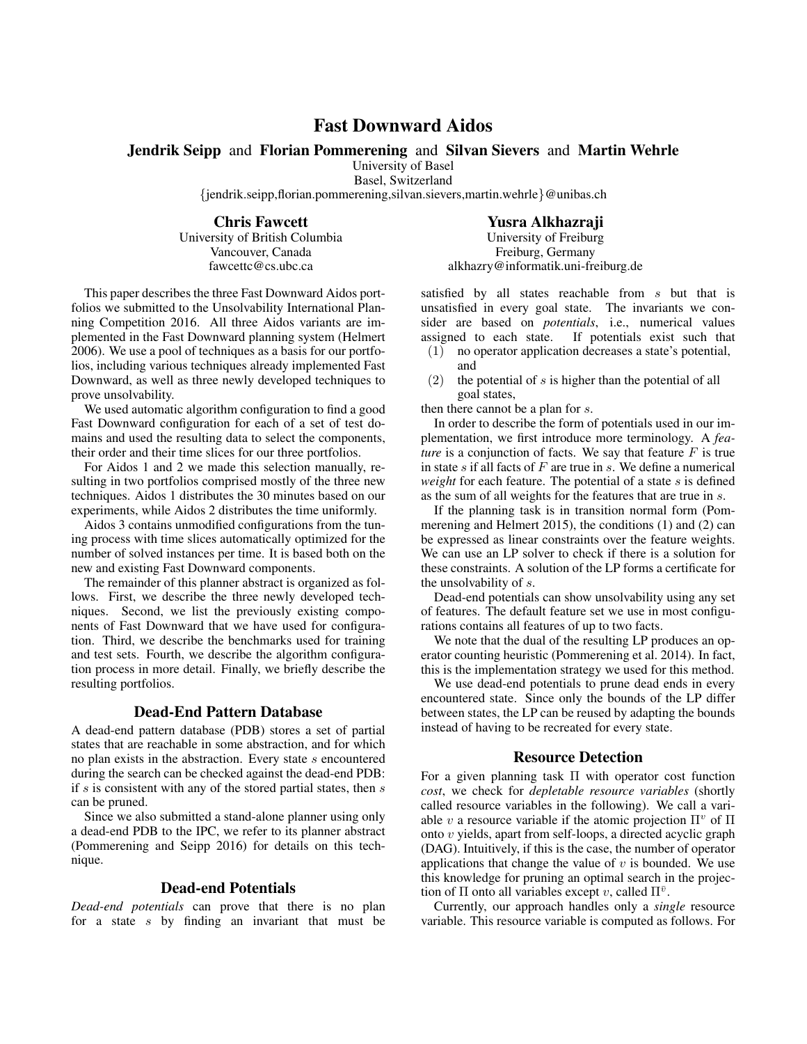# Fast Downward Aidos

Jendrik Seipp and Florian Pommerening and Silvan Sievers and Martin Wehrle

University of Basel

Basel, Switzerland

{jendrik.seipp,florian.pommerening,silvan.sievers,martin.wehrle}@unibas.ch

Chris Fawcett

University of British Columbia Vancouver, Canada fawcettc@cs.ubc.ca

Yusra Alkhazraji

University of Freiburg Freiburg, Germany alkhazry@informatik.uni-freiburg.de

This paper describes the three Fast Downward Aidos portfolios we submitted to the Unsolvability International Planning Competition 2016. All three Aidos variants are implemented in the Fast Downward planning system (Helmert 2006). We use a pool of techniques as a basis for our portfolios, including various techniques already implemented Fast Downward, as well as three newly developed techniques to prove unsolvability.

We used automatic algorithm configuration to find a good Fast Downward configuration for each of a set of test domains and used the resulting data to select the components, their order and their time slices for our three portfolios.

For Aidos 1 and 2 we made this selection manually, resulting in two portfolios comprised mostly of the three new techniques. Aidos 1 distributes the 30 minutes based on our experiments, while Aidos 2 distributes the time uniformly.

Aidos 3 contains unmodified configurations from the tuning process with time slices automatically optimized for the number of solved instances per time. It is based both on the new and existing Fast Downward components.

The remainder of this planner abstract is organized as follows. First, we describe the three newly developed techniques. Second, we list the previously existing components of Fast Downward that we have used for configuration. Third, we describe the benchmarks used for training and test sets. Fourth, we describe the algorithm configuration process in more detail. Finally, we briefly describe the resulting portfolios.

#### Dead-End Pattern Database

A dead-end pattern database (PDB) stores a set of partial states that are reachable in some abstraction, and for which no plan exists in the abstraction. Every state s encountered during the search can be checked against the dead-end PDB: if  $s$  is consistent with any of the stored partial states, then  $s$ can be pruned.

Since we also submitted a stand-alone planner using only a dead-end PDB to the IPC, we refer to its planner abstract (Pommerening and Seipp 2016) for details on this technique.

#### Dead-end Potentials

*Dead-end potentials* can prove that there is no plan for a state  $s$  by finding an invariant that must be

satisfied by all states reachable from s but that is unsatisfied in every goal state. The invariants we consider are based on *potentials*, i.e., numerical values assigned to each state. If potentials exist such that

- (1) no operator application decreases a state's potential, and
- (2) the potential of  $s$  is higher than the potential of all goal states,

then there cannot be a plan for s.

In order to describe the form of potentials used in our implementation, we first introduce more terminology. A *feature* is a conjunction of facts. We say that feature F is true in state  $s$  if all facts of  $F$  are true in  $s$ . We define a numerical *weight* for each feature. The potential of a state s is defined as the sum of all weights for the features that are true in s.

If the planning task is in transition normal form (Pommerening and Helmert 2015), the conditions (1) and (2) can be expressed as linear constraints over the feature weights. We can use an LP solver to check if there is a solution for these constraints. A solution of the LP forms a certificate for the unsolvability of s.

Dead-end potentials can show unsolvability using any set of features. The default feature set we use in most configurations contains all features of up to two facts.

We note that the dual of the resulting LP produces an operator counting heuristic (Pommerening et al. 2014). In fact, this is the implementation strategy we used for this method.

We use dead-end potentials to prune dead ends in every encountered state. Since only the bounds of the LP differ between states, the LP can be reused by adapting the bounds instead of having to be recreated for every state.

### Resource Detection

For a given planning task Π with operator cost function *cost*, we check for *depletable resource variables* (shortly called resource variables in the following). We call a variable v a resource variable if the atomic projection  $\Pi^v$  of  $\Pi$ onto v yields, apart from self-loops, a directed acyclic graph (DAG). Intuitively, if this is the case, the number of operator applications that change the value of  $v$  is bounded. We use this knowledge for pruning an optimal search in the projection of  $\Pi$  onto all variables except v, called  $\Pi^{\bar{v}}$ .

Currently, our approach handles only a *single* resource variable. This resource variable is computed as follows. For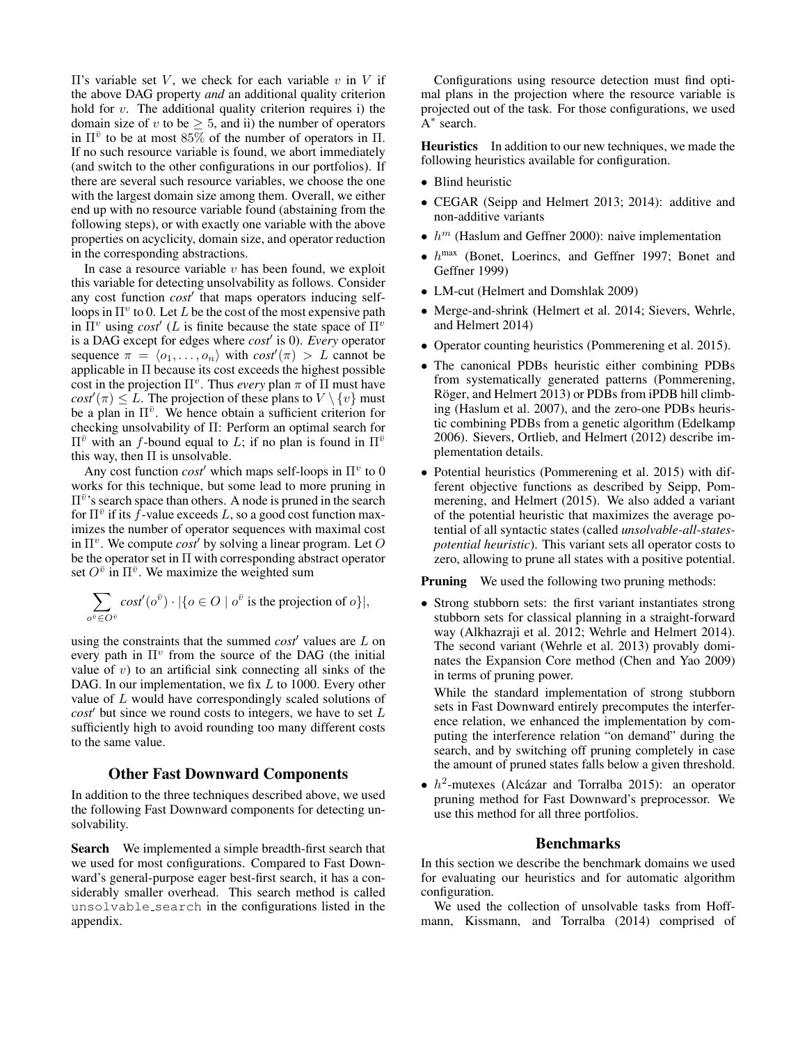$\Pi$ 's variable set *V*, we check for each variable *v* in *V* if the above DAG property *and* an additional quality criterion hold for  $v$ . The additional quality criterion requires i) the domain size of v to be  $\geq 5$ , and ii) the number of operators in  $\Pi^{\bar{v}}$  to be at most 85% of the number of operators in  $\Pi$ . If no such resource variable is found, we abort immediately (and switch to the other configurations in our portfolios). If there are several such resource variables, we choose the one with the largest domain size among them. Overall, we either end up with no resource variable found (abstaining from the following steps), or with exactly one variable with the above properties on acyclicity, domain size, and operator reduction in the corresponding abstractions.

In case a resource variable  $v$  has been found, we exploit this variable for detecting unsolvability as follows. Consider any cost function *cost'* that maps operators inducing selfloops in  $\Pi^v$  to 0. Let L be the cost of the most expensive path in  $\overline{\Pi}^v$  using *cost*<sup> $\prime$ </sup> (*L* is finite because the state space of  $\Pi^v$ is a DAG except for edges where *cost'* is 0). *Every* operator sequence  $\pi = \langle o_1, \ldots, o_n \rangle$  with  $cost'(\pi) > L$  cannot be applicable in Π because its cost exceeds the highest possible cost in the projection  $\Pi^v$ . Thus *every* plan  $\pi$  of  $\Pi$  must have  $cos t'(\pi) \leq L$ . The projection of these plans to  $V \setminus \{v\}$  must be a plan in  $\Pi^{\bar{v}}$ . We hence obtain a sufficient criterion for checking unsolvability of Π: Perform an optimal search for  $\Pi^{\bar{v}}$  with an *f*-bound equal to *L*; if no plan is found in  $\Pi^{\bar{v}}$ this way, then  $\Pi$  is unsolvable.

Any cost function  $cost'$  which maps self-loops in  $\Pi^v$  to 0 works for this technique, but some lead to more pruning in  $\Pi^{\bar{v}}$ 's search space than others. A node is pruned in the search for  $\Pi^{\bar{v}}$  if its  $\bar{f}$ -value exceeds L, so a good cost function maximizes the number of operator sequences with maximal cost in  $\Pi^v$ . We compute *cost* by solving a linear program. Let O be the operator set in Π with corresponding abstract operator set  $O^{\overline{v}}$  in  $\Pi^{\overline{v}}$ . We maximize the weighted sum

$$
\sum_{o^{\bar{v}} \in O^{\bar{v}}} cost'(o^{\bar{v}}) \cdot |\{o \in O \mid o^{\bar{v}} \text{ is the projection of } o\}|,
$$

using the constraints that the summed  $cost'$  values are  $L$  on every path in  $\Pi^v$  from the source of the DAG (the initial value of  $v$ ) to an artificial sink connecting all sinks of the DAG. In our implementation, we fix  $L$  to 1000. Every other value of L would have correspondingly scaled solutions of  $cost'$  but since we round costs to integers, we have to set  $L$ sufficiently high to avoid rounding too many different costs to the same value.

#### Other Fast Downward Components

In addition to the three techniques described above, we used the following Fast Downward components for detecting unsolvability.

Search We implemented a simple breadth-first search that we used for most configurations. Compared to Fast Downward's general-purpose eager best-first search, it has a considerably smaller overhead. This search method is called unsolvable search in the configurations listed in the appendix.

Configurations using resource detection must find optimal plans in the projection where the resource variable is projected out of the task. For those configurations, we used A<sup>\*</sup> search.

Heuristics In addition to our new techniques, we made the following heuristics available for configuration.

- Blind heuristic
- CEGAR (Seipp and Helmert 2013; 2014): additive and non-additive variants
- $h^m$  (Haslum and Geffner 2000): naive implementation
- $h^{max}$  (Bonet, Loerincs, and Geffner 1997; Bonet and Geffner 1999)
- LM-cut (Helmert and Domshlak 2009)
- Merge-and-shrink (Helmert et al. 2014; Sievers, Wehrle, and Helmert 2014)
- Operator counting heuristics (Pommerening et al. 2015).
- The canonical PDBs heuristic either combining PDBs from systematically generated patterns (Pommerening, Röger, and Helmert 2013) or PDBs from iPDB hill climbing (Haslum et al. 2007), and the zero-one PDBs heuristic combining PDBs from a genetic algorithm (Edelkamp 2006). Sievers, Ortlieb, and Helmert (2012) describe implementation details.
- Potential heuristics (Pommerening et al. 2015) with different objective functions as described by Seipp, Pommerening, and Helmert (2015). We also added a variant of the potential heuristic that maximizes the average potential of all syntactic states (called *unsolvable-all-statespotential heuristic*). This variant sets all operator costs to zero, allowing to prune all states with a positive potential.

**Pruning** We used the following two pruning methods:

• Strong stubborn sets: the first variant instantiates strong stubborn sets for classical planning in a straight-forward way (Alkhazraji et al. 2012; Wehrle and Helmert 2014). The second variant (Wehrle et al. 2013) provably dominates the Expansion Core method (Chen and Yao 2009) in terms of pruning power.

While the standard implementation of strong stubborn sets in Fast Downward entirely precomputes the interference relation, we enhanced the implementation by computing the interference relation "on demand" during the search, and by switching off pruning completely in case the amount of pruned states falls below a given threshold.

•  $h^2$ -mutexes (Alcázar and Torralba 2015): an operator pruning method for Fast Downward's preprocessor. We use this method for all three portfolios.

# Benchmarks

In this section we describe the benchmark domains we used for evaluating our heuristics and for automatic algorithm configuration.

We used the collection of unsolvable tasks from Hoffmann, Kissmann, and Torralba (2014) comprised of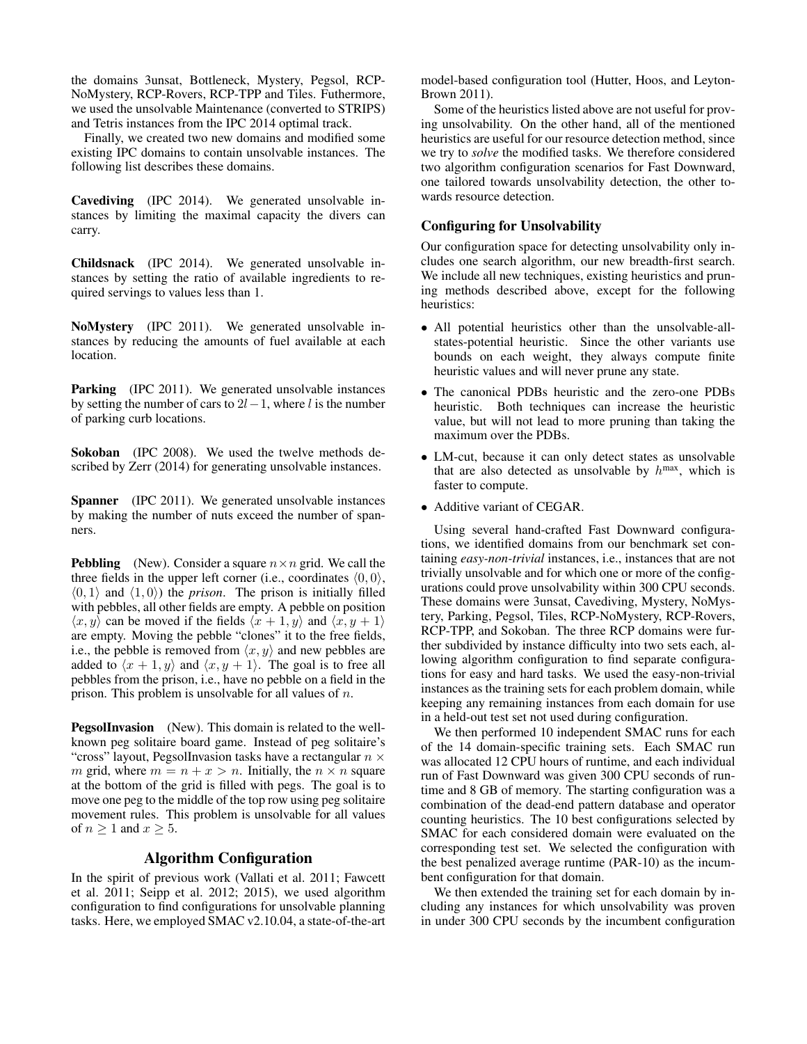the domains 3unsat, Bottleneck, Mystery, Pegsol, RCP-NoMystery, RCP-Rovers, RCP-TPP and Tiles. Futhermore, we used the unsolvable Maintenance (converted to STRIPS) and Tetris instances from the IPC 2014 optimal track.

Finally, we created two new domains and modified some existing IPC domains to contain unsolvable instances. The following list describes these domains.

Cavediving (IPC 2014). We generated unsolvable instances by limiting the maximal capacity the divers can carry.

Childsnack (IPC 2014). We generated unsolvable instances by setting the ratio of available ingredients to required servings to values less than 1.

NoMystery (IPC 2011). We generated unsolvable instances by reducing the amounts of fuel available at each location.

**Parking** (IPC 2011). We generated unsolvable instances by setting the number of cars to  $2l-1$ , where l is the number of parking curb locations.

Sokoban (IPC 2008). We used the twelve methods described by Zerr (2014) for generating unsolvable instances.

Spanner (IPC 2011). We generated unsolvable instances by making the number of nuts exceed the number of spanners.

**Pebbling** (New). Consider a square  $n \times n$  grid. We call the three fields in the upper left corner (i.e., coordinates  $(0, 0)$ ,  $\langle 0, 1 \rangle$  and  $\langle 1, 0 \rangle$  the *prison*. The prison is initially filled with pebbles, all other fields are empty. A pebble on position  $\langle x, y \rangle$  can be moved if the fields  $\langle x + 1, y \rangle$  and  $\langle x, y + 1 \rangle$ are empty. Moving the pebble "clones" it to the free fields, i.e., the pebble is removed from  $\langle x, y \rangle$  and new pebbles are added to  $\langle x + 1, y \rangle$  and  $\langle x, y + 1 \rangle$ . The goal is to free all pebbles from the prison, i.e., have no pebble on a field in the prison. This problem is unsolvable for all values of n.

PegsolInvasion (New). This domain is related to the wellknown peg solitaire board game. Instead of peg solitaire's "cross" layout, PegsolInvasion tasks have a rectangular  $n \times$ m grid, where  $m = n + x > n$ . Initially, the  $n \times n$  square at the bottom of the grid is filled with pegs. The goal is to move one peg to the middle of the top row using peg solitaire movement rules. This problem is unsolvable for all values of  $n \geq 1$  and  $x \geq 5$ .

### Algorithm Configuration

In the spirit of previous work (Vallati et al. 2011; Fawcett et al. 2011; Seipp et al. 2012; 2015), we used algorithm configuration to find configurations for unsolvable planning tasks. Here, we employed SMAC v2.10.04, a state-of-the-art model-based configuration tool (Hutter, Hoos, and Leyton-Brown 2011).

Some of the heuristics listed above are not useful for proving unsolvability. On the other hand, all of the mentioned heuristics are useful for our resource detection method, since we try to *solve* the modified tasks. We therefore considered two algorithm configuration scenarios for Fast Downward, one tailored towards unsolvability detection, the other towards resource detection.

#### Configuring for Unsolvability

Our configuration space for detecting unsolvability only includes one search algorithm, our new breadth-first search. We include all new techniques, existing heuristics and pruning methods described above, except for the following heuristics:

- All potential heuristics other than the unsolvable-allstates-potential heuristic. Since the other variants use bounds on each weight, they always compute finite heuristic values and will never prune any state.
- The canonical PDBs heuristic and the zero-one PDBs heuristic. Both techniques can increase the heuristic value, but will not lead to more pruning than taking the maximum over the PDBs.
- LM-cut, because it can only detect states as unsolvable that are also detected as unsolvable by  $h^{max}$ , which is faster to compute.
- Additive variant of CEGAR.

Using several hand-crafted Fast Downward configurations, we identified domains from our benchmark set containing *easy-non-trivial* instances, i.e., instances that are not trivially unsolvable and for which one or more of the configurations could prove unsolvability within 300 CPU seconds. These domains were 3unsat, Cavediving, Mystery, NoMystery, Parking, Pegsol, Tiles, RCP-NoMystery, RCP-Rovers, RCP-TPP, and Sokoban. The three RCP domains were further subdivided by instance difficulty into two sets each, allowing algorithm configuration to find separate configurations for easy and hard tasks. We used the easy-non-trivial instances as the training sets for each problem domain, while keeping any remaining instances from each domain for use in a held-out test set not used during configuration.

We then performed 10 independent SMAC runs for each of the 14 domain-specific training sets. Each SMAC run was allocated 12 CPU hours of runtime, and each individual run of Fast Downward was given 300 CPU seconds of runtime and 8 GB of memory. The starting configuration was a combination of the dead-end pattern database and operator counting heuristics. The 10 best configurations selected by SMAC for each considered domain were evaluated on the corresponding test set. We selected the configuration with the best penalized average runtime (PAR-10) as the incumbent configuration for that domain.

We then extended the training set for each domain by including any instances for which unsolvability was proven in under 300 CPU seconds by the incumbent configuration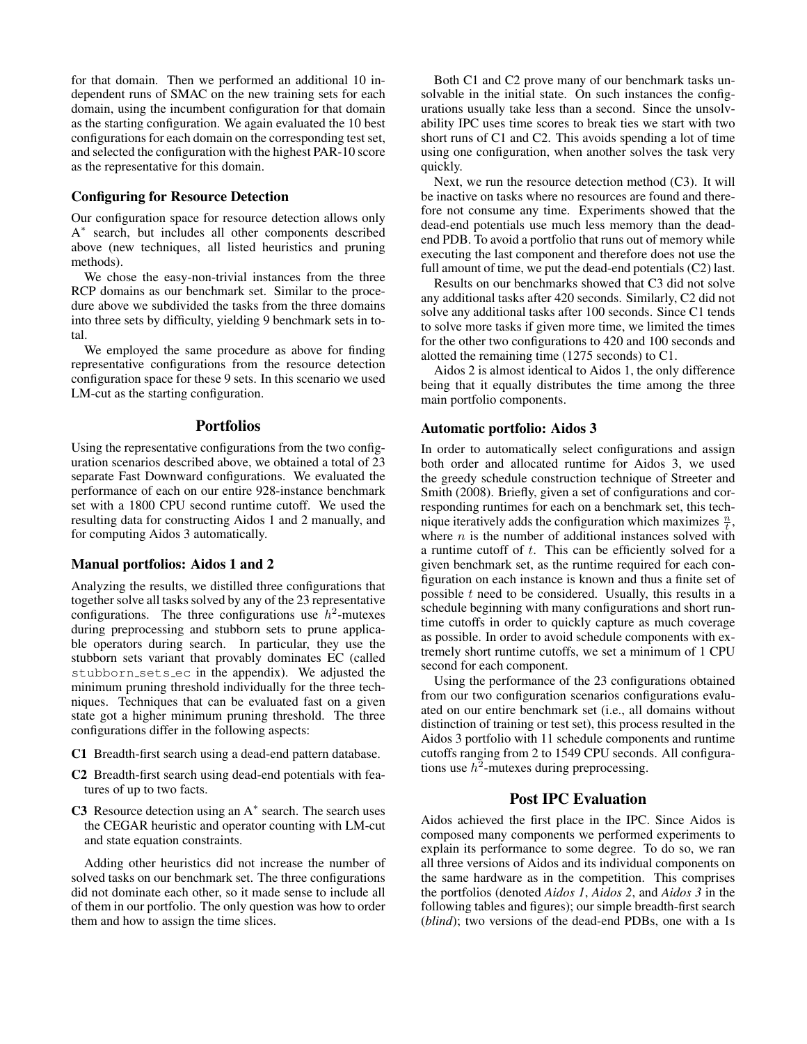for that domain. Then we performed an additional 10 independent runs of SMAC on the new training sets for each domain, using the incumbent configuration for that domain as the starting configuration. We again evaluated the 10 best configurations for each domain on the corresponding test set, and selected the configuration with the highest PAR-10 score as the representative for this domain.

#### Configuring for Resource Detection

Our configuration space for resource detection allows only A<sup>\*</sup> search, but includes all other components described above (new techniques, all listed heuristics and pruning methods).

We chose the easy-non-trivial instances from the three RCP domains as our benchmark set. Similar to the procedure above we subdivided the tasks from the three domains into three sets by difficulty, yielding 9 benchmark sets in total.

We employed the same procedure as above for finding representative configurations from the resource detection configuration space for these 9 sets. In this scenario we used LM-cut as the starting configuration.

#### Portfolios

Using the representative configurations from the two configuration scenarios described above, we obtained a total of 23 separate Fast Downward configurations. We evaluated the performance of each on our entire 928-instance benchmark set with a 1800 CPU second runtime cutoff. We used the resulting data for constructing Aidos 1 and 2 manually, and for computing Aidos 3 automatically.

#### Manual portfolios: Aidos 1 and 2

Analyzing the results, we distilled three configurations that together solve all tasks solved by any of the 23 representative configurations. The three configurations use  $h^2$ -mutexes during preprocessing and stubborn sets to prune applicable operators during search. In particular, they use the stubborn sets variant that provably dominates EC (called stubborn sets ec in the appendix). We adjusted the minimum pruning threshold individually for the three techniques. Techniques that can be evaluated fast on a given state got a higher minimum pruning threshold. The three configurations differ in the following aspects:

- C1 Breadth-first search using a dead-end pattern database.
- C2 Breadth-first search using dead-end potentials with features of up to two facts.
- C3 Resource detection using an  $A^*$  search. The search uses the CEGAR heuristic and operator counting with LM-cut and state equation constraints.

Adding other heuristics did not increase the number of solved tasks on our benchmark set. The three configurations did not dominate each other, so it made sense to include all of them in our portfolio. The only question was how to order them and how to assign the time slices.

Both C1 and C2 prove many of our benchmark tasks unsolvable in the initial state. On such instances the configurations usually take less than a second. Since the unsolvability IPC uses time scores to break ties we start with two short runs of C1 and C2. This avoids spending a lot of time using one configuration, when another solves the task very quickly.

Next, we run the resource detection method (C3). It will be inactive on tasks where no resources are found and therefore not consume any time. Experiments showed that the dead-end potentials use much less memory than the deadend PDB. To avoid a portfolio that runs out of memory while executing the last component and therefore does not use the full amount of time, we put the dead-end potentials (C2) last.

Results on our benchmarks showed that C3 did not solve any additional tasks after 420 seconds. Similarly, C2 did not solve any additional tasks after 100 seconds. Since C1 tends to solve more tasks if given more time, we limited the times for the other two configurations to 420 and 100 seconds and alotted the remaining time (1275 seconds) to C1.

Aidos 2 is almost identical to Aidos 1, the only difference being that it equally distributes the time among the three main portfolio components.

#### Automatic portfolio: Aidos 3

In order to automatically select configurations and assign both order and allocated runtime for Aidos 3, we used the greedy schedule construction technique of Streeter and Smith (2008). Briefly, given a set of configurations and corresponding runtimes for each on a benchmark set, this technique iteratively adds the configuration which maximizes  $\frac{n}{t}$ , where  $n$  is the number of additional instances solved with a runtime cutoff of t. This can be efficiently solved for a given benchmark set, as the runtime required for each configuration on each instance is known and thus a finite set of possible  $t$  need to be considered. Usually, this results in a schedule beginning with many configurations and short runtime cutoffs in order to quickly capture as much coverage as possible. In order to avoid schedule components with extremely short runtime cutoffs, we set a minimum of 1 CPU second for each component.

Using the performance of the 23 configurations obtained from our two configuration scenarios configurations evaluated on our entire benchmark set (i.e., all domains without distinction of training or test set), this process resulted in the Aidos 3 portfolio with 11 schedule components and runtime cutoffs ranging from 2 to 1549 CPU seconds. All configurations use  $h^2$ -mutexes during preprocessing.

# Post IPC Evaluation

Aidos achieved the first place in the IPC. Since Aidos is composed many components we performed experiments to explain its performance to some degree. To do so, we ran all three versions of Aidos and its individual components on the same hardware as in the competition. This comprises the portfolios (denoted *Aidos 1*, *Aidos 2*, and *Aidos 3* in the following tables and figures); our simple breadth-first search (*blind*); two versions of the dead-end PDBs, one with a 1s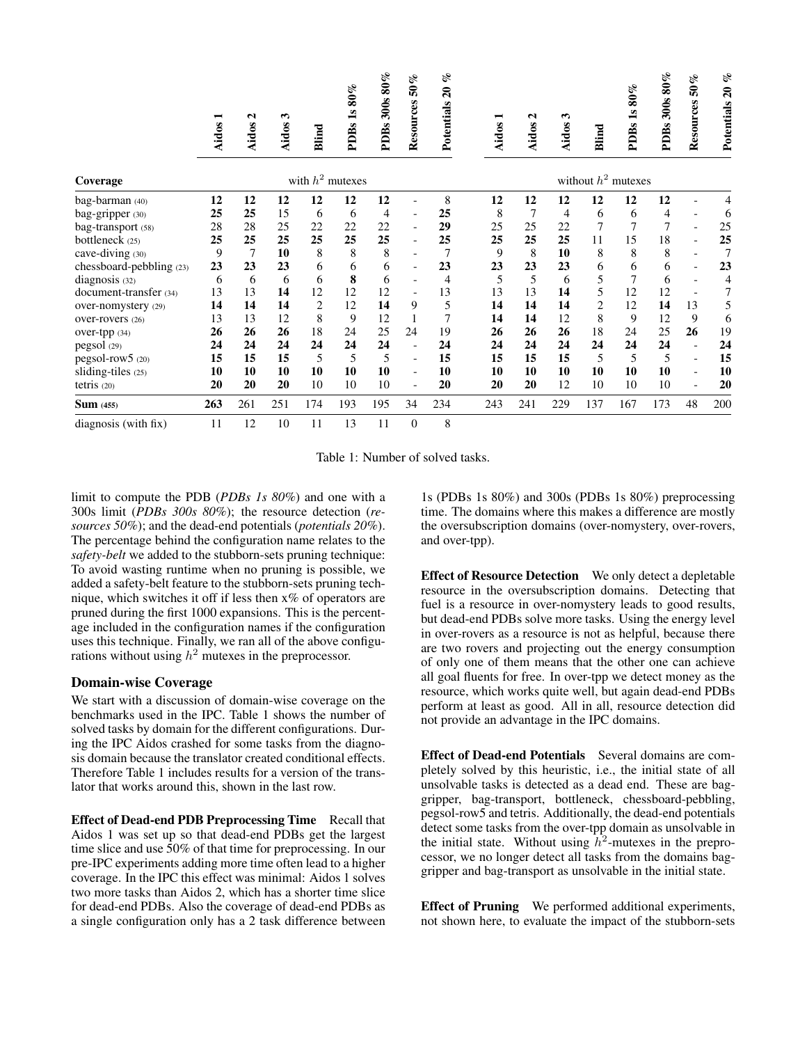|                          | Aidos 1            | $\mathbf{\Omega}$<br>Aidos | $\boldsymbol{\omega}$<br>Aidos | <b>Blind</b>   | 80%<br>$\overline{\mathbf{s}}$<br><b>PDBs</b> | 300s 80%<br><b>PDBs</b> | 50%<br>Resources         | of<br>$\boldsymbol{\mathcal{Z}}$<br>Potentials |                       | −<br>Aidos | $\mathbf{\Omega}$<br>Aidos: | $\mathbf{\hat{z}}$<br>Aidos | Blind          | 1s80%<br>PDBs  | 300s 80%<br>PDBs: | 50%<br>Resources             | of<br>$\boldsymbol{z_0}$<br>Potentials |  |
|--------------------------|--------------------|----------------------------|--------------------------------|----------------|-----------------------------------------------|-------------------------|--------------------------|------------------------------------------------|-----------------------|------------|-----------------------------|-----------------------------|----------------|----------------|-------------------|------------------------------|----------------------------------------|--|
| Coverage                 | with $h^2$ mutexes |                            |                                |                |                                               |                         |                          |                                                | without $h^2$ mutexes |            |                             |                             |                |                |                   |                              |                                        |  |
| bag-barman (40)          | 12                 | 12                         | 12                             | 12             | 12                                            | 12                      | $\overline{\phantom{a}}$ | 8                                              |                       | 12         | 12                          | 12                          | 12             | 12             | 12                |                              |                                        |  |
| bag-gripper (30)         | 25                 | 25                         | 15                             | 6              | 6                                             | 4                       | $\overline{\phantom{0}}$ | 25                                             |                       | 8          | 7                           | 4                           | 6              | 6              | 4                 |                              | 6                                      |  |
| bag-transport (58)       | 28                 | 28                         | 25                             | 22             | 22                                            | 22                      | $\overline{\phantom{a}}$ | 29                                             |                       | 25         | 25                          | 22                          | $\overline{7}$ | $\overline{7}$ | $\overline{7}$    | $\overline{\phantom{0}}$     | 25                                     |  |
| bottleneck (25)          | 25                 | 25                         | 25                             | 25             | 25                                            | 25                      | $\overline{\phantom{0}}$ | 25                                             |                       | 25         | 25                          | 25                          | 11             | 15             | 18                |                              | 25                                     |  |
| cave-diving (30)         | 9                  | $\overline{7}$             | 10                             | 8              | 8                                             | 8                       | -                        |                                                |                       | 9          | 8                           | 10                          | 8              | 8              | 8                 | $\overline{\phantom{0}}$     |                                        |  |
| chessboard-pebbling (23) | 23                 | 23                         | 23                             | 6              | 6                                             | 6                       | $\overline{\phantom{0}}$ | 23                                             |                       | 23         | 23                          | 23                          | 6              | 6              | 6                 | $\qquad \qquad \blacksquare$ | 23                                     |  |
| diagnosis (32)           | 6                  | 6                          | 6                              | 6              | 8                                             | 6                       | $\overline{\phantom{a}}$ | $\overline{4}$                                 |                       | 5          | 5                           | 6                           | 5              | 7              | 6                 |                              | 4                                      |  |
| document-transfer (34)   | 13                 | 13                         | 14                             | 12             | 12                                            | 12                      | $\overline{\phantom{a}}$ | 13                                             |                       | 13         | 13                          | 14                          | 5              | 12             | 12                |                              |                                        |  |
| over-nomystery (29)      | 14                 | 14                         | 14                             | $\overline{2}$ | 12                                            | 14                      | 9                        | 5                                              |                       | 14         | 14                          | 14                          | 2              | 12             | 14                | 13                           | 5                                      |  |
| over-rovers (26)         | 13                 | 13                         | 12                             | 8              | 9                                             | 12                      |                          | 7                                              |                       | 14         | 14                          | 12                          | 8              | 9              | 12                | 9                            | 6                                      |  |
| over-tpp (34)            | 26                 | 26                         | 26                             | 18             | 24                                            | 25                      | 24                       | 19                                             |                       | 26         | 26                          | 26                          | 18             | 24             | 25                | 26                           | 19                                     |  |
| pegsol (29)              | 24                 | 24                         | 24                             | 24             | 24                                            | 24                      | $\overline{\phantom{a}}$ | 24                                             |                       | 24         | 24                          | 24                          | 24             | 24             | 24                |                              | 24                                     |  |
| pegsol-row5 (20)         | 15                 | 15                         | 15                             | 5              | 5                                             | 5                       | $\blacksquare$           | 15                                             |                       | 15         | 15                          | 15                          | 5              | 5              | 5                 | $\overline{a}$               | 15                                     |  |
| sliding-tiles (25)       | 10                 | 10                         | 10                             | 10             | 10                                            | 10                      | $\overline{\phantom{a}}$ | 10                                             |                       | 10         | 10                          | 10                          | 10             | 10             | 10                |                              | 10                                     |  |
| tetris (20)              | 20                 | 20                         | 20                             | 10             | 10                                            | 10                      | $\overline{\phantom{a}}$ | 20                                             |                       | 20         | 20                          | 12                          | 10             | 10             | 10                |                              | 20                                     |  |
| <b>Sum</b> (455)         | 263                | 261                        | 251                            | 174            | 193                                           | 195                     | 34                       | 234                                            | 243                   |            | 241                         | 229                         | 137            | 167            | 173               | 48                           | 200                                    |  |
| diagnosis (with fix)     | 11                 | 12                         | 10                             | 11             | 13                                            | 11                      | $\overline{0}$           | 8                                              |                       |            |                             |                             |                |                |                   |                              |                                        |  |

Table 1: Number of solved tasks.

limit to compute the PDB (*PDBs 1s 80%*) and one with a 300s limit (*PDBs 300s 80%*); the resource detection (*resources 50%*); and the dead-end potentials (*potentials 20%*). The percentage behind the configuration name relates to the *safety-belt* we added to the stubborn-sets pruning technique: To avoid wasting runtime when no pruning is possible, we added a safety-belt feature to the stubborn-sets pruning technique, which switches it off if less then x% of operators are pruned during the first 1000 expansions. This is the percentage included in the configuration names if the configuration uses this technique. Finally, we ran all of the above configurations without using  $h^2$  mutexes in the preprocessor.

#### Domain-wise Coverage

We start with a discussion of domain-wise coverage on the benchmarks used in the IPC. Table 1 shows the number of solved tasks by domain for the different configurations. During the IPC Aidos crashed for some tasks from the diagnosis domain because the translator created conditional effects. Therefore Table 1 includes results for a version of the translator that works around this, shown in the last row.

Effect of Dead-end PDB Preprocessing Time Recall that Aidos 1 was set up so that dead-end PDBs get the largest time slice and use 50% of that time for preprocessing. In our pre-IPC experiments adding more time often lead to a higher coverage. In the IPC this effect was minimal: Aidos 1 solves two more tasks than Aidos 2, which has a shorter time slice for dead-end PDBs. Also the coverage of dead-end PDBs as a single configuration only has a 2 task difference between

1s (PDBs 1s 80%) and 300s (PDBs 1s 80%) preprocessing time. The domains where this makes a difference are mostly the oversubscription domains (over-nomystery, over-rovers, and over-tpp).

Effect of Resource Detection We only detect a depletable resource in the oversubscription domains. Detecting that fuel is a resource in over-nomystery leads to good results, but dead-end PDBs solve more tasks. Using the energy level in over-rovers as a resource is not as helpful, because there are two rovers and projecting out the energy consumption of only one of them means that the other one can achieve all goal fluents for free. In over-tpp we detect money as the resource, which works quite well, but again dead-end PDBs perform at least as good. All in all, resource detection did not provide an advantage in the IPC domains.

Effect of Dead-end Potentials Several domains are completely solved by this heuristic, i.e., the initial state of all unsolvable tasks is detected as a dead end. These are baggripper, bag-transport, bottleneck, chessboard-pebbling, pegsol-row5 and tetris. Additionally, the dead-end potentials detect some tasks from the over-tpp domain as unsolvable in the initial state. Without using  $h^2$ -mutexes in the preprocessor, we no longer detect all tasks from the domains baggripper and bag-transport as unsolvable in the initial state.

Effect of Pruning We performed additional experiments, not shown here, to evaluate the impact of the stubborn-sets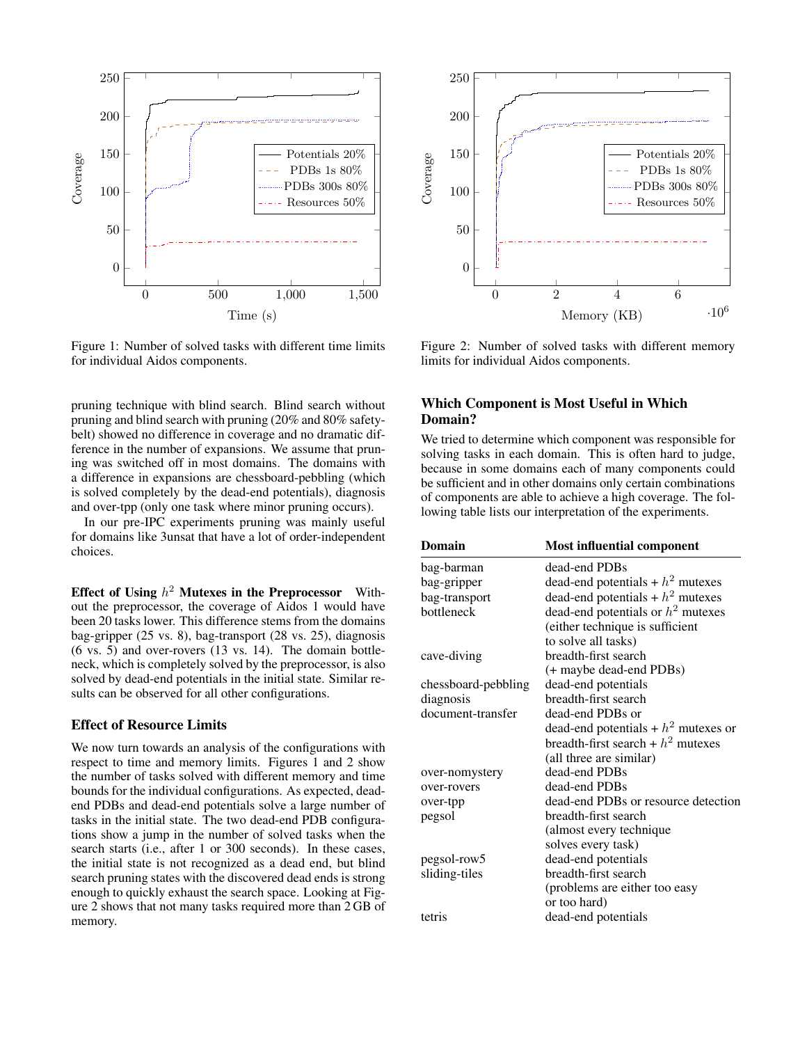

Figure 1: Number of solved tasks with different time limits for individual Aidos components.

pruning technique with blind search. Blind search without pruning and blind search with pruning (20% and 80% safetybelt) showed no difference in coverage and no dramatic difference in the number of expansions. We assume that pruning was switched off in most domains. The domains with a difference in expansions are chessboard-pebbling (which is solved completely by the dead-end potentials), diagnosis and over-tpp (only one task where minor pruning occurs).

In our pre-IPC experiments pruning was mainly useful for domains like 3unsat that have a lot of order-independent choices.

Effect of Using  $h^2$  Mutexes in the Preprocessor Without the preprocessor, the coverage of Aidos 1 would have been 20 tasks lower. This difference stems from the domains bag-gripper (25 vs. 8), bag-transport (28 vs. 25), diagnosis (6 vs. 5) and over-rovers (13 vs. 14). The domain bottleneck, which is completely solved by the preprocessor, is also solved by dead-end potentials in the initial state. Similar results can be observed for all other configurations.

#### Effect of Resource Limits

We now turn towards an analysis of the configurations with respect to time and memory limits. Figures 1 and 2 show the number of tasks solved with different memory and time bounds for the individual configurations. As expected, deadend PDBs and dead-end potentials solve a large number of tasks in the initial state. The two dead-end PDB configurations show a jump in the number of solved tasks when the search starts (i.e., after 1 or 300 seconds). In these cases, the initial state is not recognized as a dead end, but blind search pruning states with the discovered dead ends is strong enough to quickly exhaust the search space. Looking at Figure 2 shows that not many tasks required more than 2 GB of memory.



Figure 2: Number of solved tasks with different memory limits for individual Aidos components.

### Which Component is Most Useful in Which Domain?

We tried to determine which component was responsible for solving tasks in each domain. This is often hard to judge, because in some domains each of many components could be sufficient and in other domains only certain combinations of components are able to achieve a high coverage. The following table lists our interpretation of the experiments.

| Domain              | <b>Most influential component</b>     |
|---------------------|---------------------------------------|
| bag-barman          | dead-end PDBs                         |
| bag-gripper         | dead-end potentials + $h^2$ mutexes   |
| bag-transport       | dead-end potentials + $h2$ mutexes    |
| bottleneck          | dead-end potentials or $h^2$ mutexes  |
|                     | (either technique is sufficient       |
|                     | to solve all tasks)                   |
| cave-diving         | breadth-first search                  |
|                     | (+ maybe dead-end PDBs)               |
| chessboard-pebbling | dead-end potentials                   |
| diagnosis           | breadth-first search                  |
| document-transfer   | dead-end PDBs or                      |
|                     | dead-end potentials + $h2$ mutexes or |
|                     | breadth-first search + $h2$ mutexes   |
|                     | (all three are similar)               |
| over-nomystery      | dead-end PDBs                         |
| over-rovers         | dead-end PDBs                         |
| over-tpp            | dead-end PDBs or resource detection   |
| pegsol              | breadth-first search                  |
|                     | (almost every technique               |
|                     | solves every task)                    |
| pegsol-row5         | dead-end potentials                   |
| sliding-tiles       | breadth-first search                  |
|                     | (problems are either too easy         |
|                     | or too hard)                          |
| tetris              | dead-end potentials                   |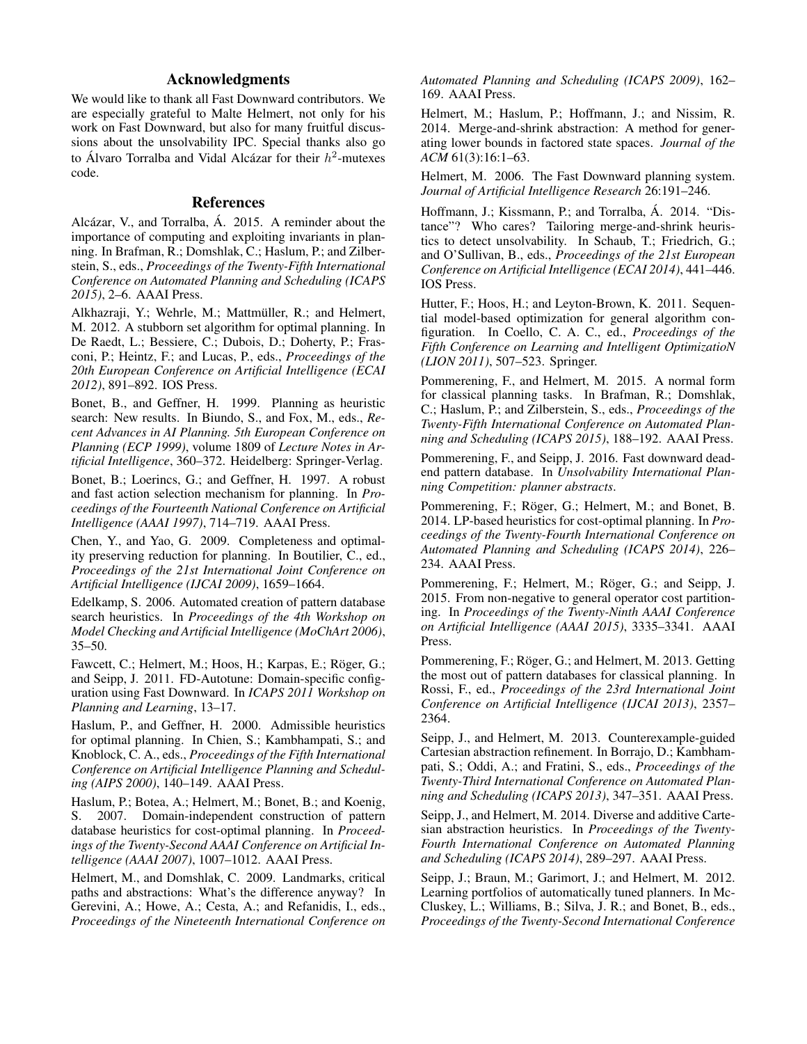# Acknowledgments

We would like to thank all Fast Downward contributors. We are especially grateful to Malte Helmert, not only for his work on Fast Downward, but also for many fruitful discussions about the unsolvability IPC. Special thanks also go to Álvaro Torralba and Vidal Alcázar for their  $h^2$ -mutexes code.

# **References**

Alcázar, V., and Torralba, Á. 2015. A reminder about the importance of computing and exploiting invariants in planning. In Brafman, R.; Domshlak, C.; Haslum, P.; and Zilberstein, S., eds., *Proceedings of the Twenty-Fifth International Conference on Automated Planning and Scheduling (ICAPS 2015)*, 2–6. AAAI Press.

Alkhazraji, Y.; Wehrle, M.; Mattmüller, R.; and Helmert, M. 2012. A stubborn set algorithm for optimal planning. In De Raedt, L.; Bessiere, C.; Dubois, D.; Doherty, P.; Frasconi, P.; Heintz, F.; and Lucas, P., eds., *Proceedings of the 20th European Conference on Artificial Intelligence (ECAI 2012)*, 891–892. IOS Press.

Bonet, B., and Geffner, H. 1999. Planning as heuristic search: New results. In Biundo, S., and Fox, M., eds., *Recent Advances in AI Planning. 5th European Conference on Planning (ECP 1999)*, volume 1809 of *Lecture Notes in Artificial Intelligence*, 360–372. Heidelberg: Springer-Verlag.

Bonet, B.; Loerincs, G.; and Geffner, H. 1997. A robust and fast action selection mechanism for planning. In *Proceedings of the Fourteenth National Conference on Artificial Intelligence (AAAI 1997)*, 714–719. AAAI Press.

Chen, Y., and Yao, G. 2009. Completeness and optimality preserving reduction for planning. In Boutilier, C., ed., *Proceedings of the 21st International Joint Conference on Artificial Intelligence (IJCAI 2009)*, 1659–1664.

Edelkamp, S. 2006. Automated creation of pattern database search heuristics. In *Proceedings of the 4th Workshop on Model Checking and Artificial Intelligence (MoChArt 2006)*, 35–50.

Fawcett, C.; Helmert, M.; Hoos, H.; Karpas, E.; Röger, G.; and Seipp, J. 2011. FD-Autotune: Domain-specific configuration using Fast Downward. In *ICAPS 2011 Workshop on Planning and Learning*, 13–17.

Haslum, P., and Geffner, H. 2000. Admissible heuristics for optimal planning. In Chien, S.; Kambhampati, S.; and Knoblock, C. A., eds., *Proceedings of the Fifth International Conference on Artificial Intelligence Planning and Scheduling (AIPS 2000)*, 140–149. AAAI Press.

Haslum, P.; Botea, A.; Helmert, M.; Bonet, B.; and Koenig, S. 2007. Domain-independent construction of pattern database heuristics for cost-optimal planning. In *Proceedings of the Twenty-Second AAAI Conference on Artificial Intelligence (AAAI 2007)*, 1007–1012. AAAI Press.

Helmert, M., and Domshlak, C. 2009. Landmarks, critical paths and abstractions: What's the difference anyway? In Gerevini, A.; Howe, A.; Cesta, A.; and Refanidis, I., eds., *Proceedings of the Nineteenth International Conference on* *Automated Planning and Scheduling (ICAPS 2009)*, 162– 169. AAAI Press.

Helmert, M.; Haslum, P.; Hoffmann, J.; and Nissim, R. 2014. Merge-and-shrink abstraction: A method for generating lower bounds in factored state spaces. *Journal of the ACM* 61(3):16:1–63.

Helmert, M. 2006. The Fast Downward planning system. *Journal of Artificial Intelligence Research* 26:191–246.

Hoffmann, J.; Kissmann, P.; and Torralba, Á. 2014. "Distance"? Who cares? Tailoring merge-and-shrink heuristics to detect unsolvability. In Schaub, T.; Friedrich, G.; and O'Sullivan, B., eds., *Proceedings of the 21st European Conference on Artificial Intelligence (ECAI 2014)*, 441–446. IOS Press.

Hutter, F.; Hoos, H.; and Leyton-Brown, K. 2011. Sequential model-based optimization for general algorithm configuration. In Coello, C. A. C., ed., *Proceedings of the Fifth Conference on Learning and Intelligent OptimizatioN (LION 2011)*, 507–523. Springer.

Pommerening, F., and Helmert, M. 2015. A normal form for classical planning tasks. In Brafman, R.; Domshlak, C.; Haslum, P.; and Zilberstein, S., eds., *Proceedings of the Twenty-Fifth International Conference on Automated Planning and Scheduling (ICAPS 2015)*, 188–192. AAAI Press.

Pommerening, F., and Seipp, J. 2016. Fast downward deadend pattern database. In *Unsolvability International Planning Competition: planner abstracts*.

Pommerening, F.; Röger, G.; Helmert, M.; and Bonet, B. 2014. LP-based heuristics for cost-optimal planning. In *Proceedings of the Twenty-Fourth International Conference on Automated Planning and Scheduling (ICAPS 2014)*, 226– 234. AAAI Press.

Pommerening, F.; Helmert, M.; Röger, G.; and Seipp, J. 2015. From non-negative to general operator cost partitioning. In *Proceedings of the Twenty-Ninth AAAI Conference on Artificial Intelligence (AAAI 2015)*, 3335–3341. AAAI Press.

Pommerening, F.; Röger, G.; and Helmert, M. 2013. Getting the most out of pattern databases for classical planning. In Rossi, F., ed., *Proceedings of the 23rd International Joint Conference on Artificial Intelligence (IJCAI 2013)*, 2357– 2364.

Seipp, J., and Helmert, M. 2013. Counterexample-guided Cartesian abstraction refinement. In Borrajo, D.; Kambhampati, S.; Oddi, A.; and Fratini, S., eds., *Proceedings of the Twenty-Third International Conference on Automated Planning and Scheduling (ICAPS 2013)*, 347–351. AAAI Press.

Seipp, J., and Helmert, M. 2014. Diverse and additive Cartesian abstraction heuristics. In *Proceedings of the Twenty-Fourth International Conference on Automated Planning and Scheduling (ICAPS 2014)*, 289–297. AAAI Press.

Seipp, J.; Braun, M.; Garimort, J.; and Helmert, M. 2012. Learning portfolios of automatically tuned planners. In Mc-Cluskey, L.; Williams, B.; Silva, J. R.; and Bonet, B., eds., *Proceedings of the Twenty-Second International Conference*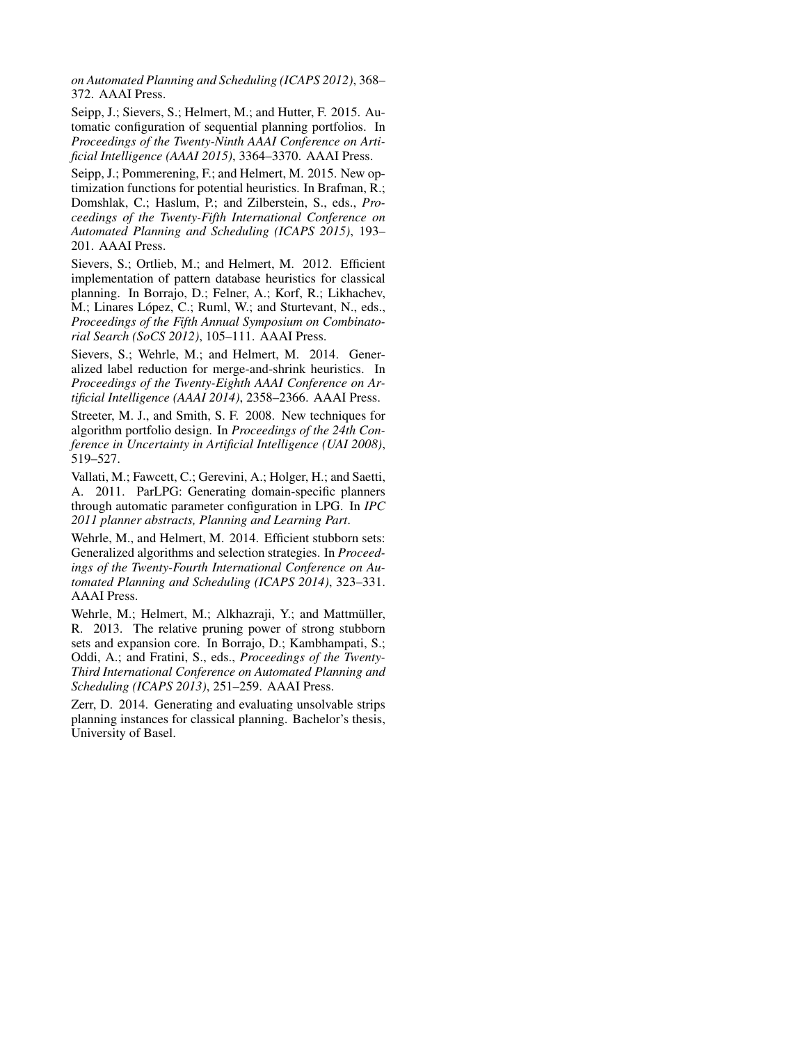*on Automated Planning and Scheduling (ICAPS 2012)*, 368– 372. AAAI Press.

Seipp, J.; Sievers, S.; Helmert, M.; and Hutter, F. 2015. Automatic configuration of sequential planning portfolios. In *Proceedings of the Twenty-Ninth AAAI Conference on Artificial Intelligence (AAAI 2015)*, 3364–3370. AAAI Press.

Seipp, J.; Pommerening, F.; and Helmert, M. 2015. New optimization functions for potential heuristics. In Brafman, R.; Domshlak, C.; Haslum, P.; and Zilberstein, S., eds., *Proceedings of the Twenty-Fifth International Conference on Automated Planning and Scheduling (ICAPS 2015)*, 193– 201. AAAI Press.

Sievers, S.; Ortlieb, M.; and Helmert, M. 2012. Efficient implementation of pattern database heuristics for classical planning. In Borrajo, D.; Felner, A.; Korf, R.; Likhachev, M.; Linares López, C.; Ruml, W.; and Sturtevant, N., eds., *Proceedings of the Fifth Annual Symposium on Combinatorial Search (SoCS 2012)*, 105–111. AAAI Press.

Sievers, S.; Wehrle, M.; and Helmert, M. 2014. Generalized label reduction for merge-and-shrink heuristics. In *Proceedings of the Twenty-Eighth AAAI Conference on Artificial Intelligence (AAAI 2014)*, 2358–2366. AAAI Press.

Streeter, M. J., and Smith, S. F. 2008. New techniques for algorithm portfolio design. In *Proceedings of the 24th Conference in Uncertainty in Artificial Intelligence (UAI 2008)*, 519–527.

Vallati, M.; Fawcett, C.; Gerevini, A.; Holger, H.; and Saetti, A. 2011. ParLPG: Generating domain-specific planners through automatic parameter configuration in LPG. In *IPC 2011 planner abstracts, Planning and Learning Part*.

Wehrle, M., and Helmert, M. 2014. Efficient stubborn sets: Generalized algorithms and selection strategies. In *Proceedings of the Twenty-Fourth International Conference on Automated Planning and Scheduling (ICAPS 2014)*, 323–331. AAAI Press.

Wehrle, M.; Helmert, M.; Alkhazraji, Y.; and Mattmüller, R. 2013. The relative pruning power of strong stubborn sets and expansion core. In Borrajo, D.; Kambhampati, S.; Oddi, A.; and Fratini, S., eds., *Proceedings of the Twenty-Third International Conference on Automated Planning and Scheduling (ICAPS 2013)*, 251–259. AAAI Press.

Zerr, D. 2014. Generating and evaluating unsolvable strips planning instances for classical planning. Bachelor's thesis, University of Basel.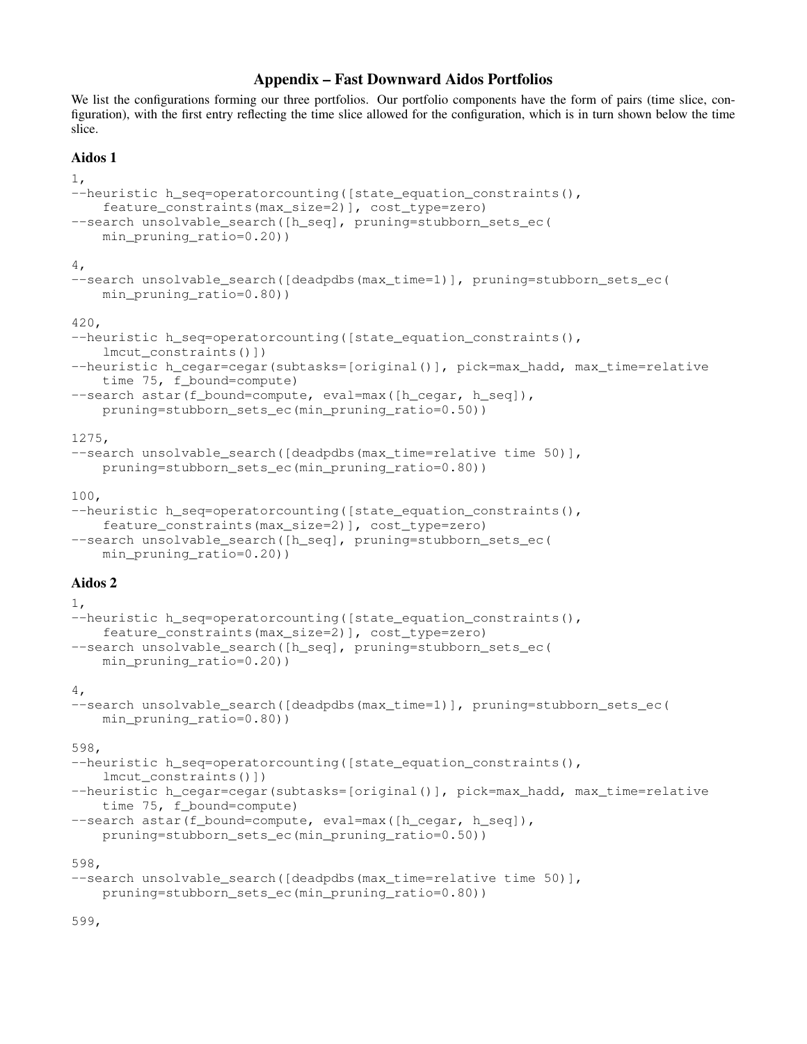# Appendix – Fast Downward Aidos Portfolios

We list the configurations forming our three portfolios. Our portfolio components have the form of pairs (time slice, configuration), with the first entry reflecting the time slice allowed for the configuration, which is in turn shown below the time slice.

### Aidos 1

```
1,
--heuristic h_seq=operatorcounting([state_equation_constraints(),
    feature_constraints(max_size=2)], cost_type=zero)
--search unsolvable_search([h_seq], pruning=stubborn_sets_ec(
    min pruning ratio=0.20))
4,
--search unsolvable_search([deadpdbs(max_time=1)], pruning=stubborn_sets_ec(
    min_pruning_ratio=0.80))
420,
--heuristic h seq=operatorcounting([state equation constraints(),
    lmcut constraints()])
--heuristic h_cegar=cegar(subtasks=[original()], pick=max_hadd, max_time=relative
    time 75, f_bound=compute)
--search astar(f_bound=compute, eval=max([h_cegar, h_seq]),
    pruning=stubborn_sets_ec(min_pruning_ratio=0.50))
1275,
--search unsolvable search([deadpdbs(max time=relative time 50)],
    pruning=stubborn_sets_ec(min_pruning_ratio=0.80))
100,
--heuristic h seq=operatorcounting([state equation constraints(),
    feature constraints(max size=2)], cost type=zero)
--search unsolvable_search([h_seq], pruning=stubborn_sets_ec(
    min_pruning_ratio=0.20))
Aidos 2
1,
--heuristic h seq=operatorcounting([state equation constraints(),
    feature constraints(max size=2)], cost type=zero)
--search unsolvable_search([h_seq], pruning=stubborn_sets_ec(
    min pruning ratio=0.20))
4,
--search unsolvable search([deadpdbs(max time=1)], pruning=stubborn sets ec(
    min_pruning_ratio=0.80))
598,
--heuristic h_seq=operatorcounting([state_equation_constraints(),
    lmcut_constraints()])
--heuristic h_cegar=cegar(subtasks=[original()], pick=max_hadd, max_time=relative
    time 75, f_bound=compute)
--search astar(f_bound=compute, eval=max([h_cegar, h_seq]),
    pruning=stubborn_sets_ec(min_pruning_ratio=0.50))
598,
--search unsolvable_search([deadpdbs(max_time=relative time 50)],
    pruning=stubborn_sets_ec(min_pruning_ratio=0.80))
```
599,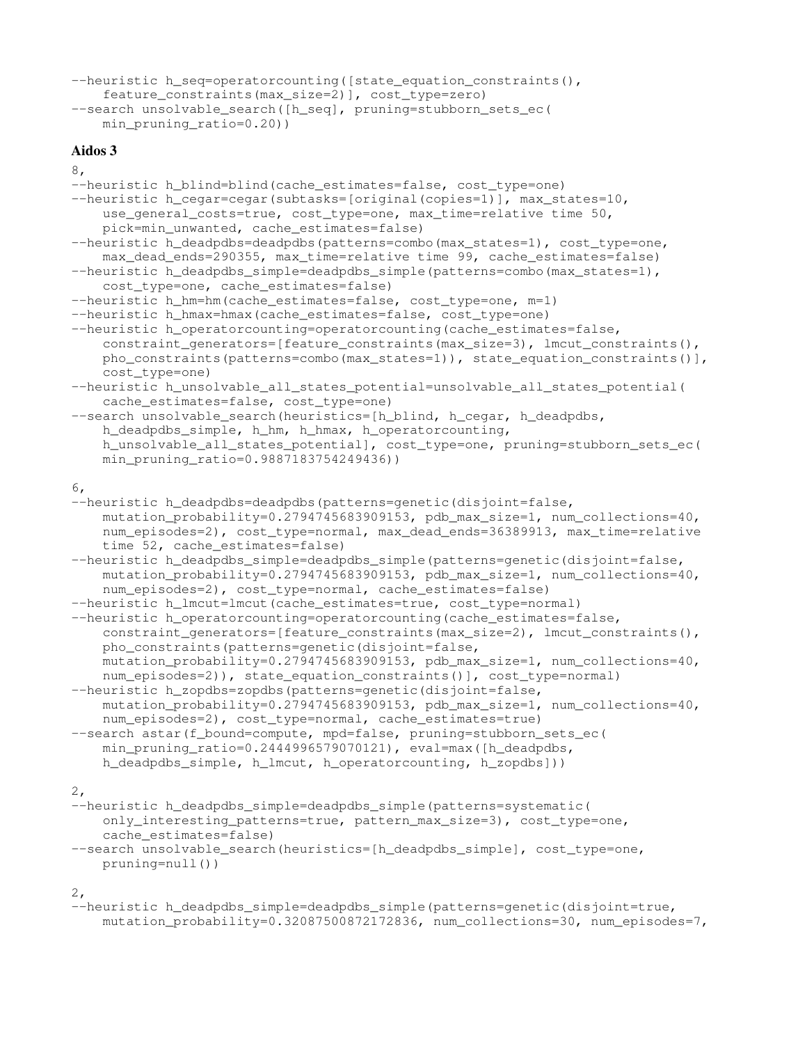```
--heuristic h_seq=operatorcounting([state_equation_constraints(),
   feature_constraints(max_size=2)], cost_type=zero)
--search unsolvable_search([h_seq], pruning=stubborn_sets_ec(
   min_pruning_ratio=0.20))
```
### Aidos 3

```
8,
```

```
--heuristic h blind=blind(cache estimates=false, cost type=one)
--heuristic h_cegar=cegar(subtasks=[original(copies=1)], max_states=10,
    use_general_costs=true, cost_type=one, max_time=relative time 50,
    pick=min_unwanted, cache_estimates=false)
--heuristic h_deadpdbs=deadpdbs(patterns=combo(max_states=1), cost_type=one,
    max dead ends=290355, max time=relative time 99, cache estimates=false)
--heuristic h deadpdbs simple=deadpdbs simple(patterns=combo(max states=1),
    cost_type=one, cache_estimates=false)
--heuristic h_hm=hm(cache_estimates=false, cost_type=one, m=1)
--heuristic h_hmax=hmax(cache_estimates=false, cost_type=one)
--heuristic h operatorcounting=operatorcounting(cache estimates=false,
    constraint_generators=[feature_constraints(max_size=3), lmcut_constraints(),
    pho_constraints(patterns=combo(max_states=1)), state equation constraints()],
    cost_type=one)
--heuristic h_unsolvable_all_states_potential=unsolvable_all_states_potential(
    cache_estimates=false, cost_type=one)
--search unsolvable_search(heuristics=[h_blind, h_cegar, h_deadpdbs,
    h_deadpdbs_simple, h_hm, h_hmax, h_operatorcounting,
    h_unsolvable_all_states_potential], cost_type=one, pruning=stubborn_sets_ec(
    min pruning ratio=0.9887183754249436))
6,
--heuristic h deadpdbs=deadpdbs(patterns=genetic(disjoint=false,
    mutation probability=0.2794745683909153, pdb max size=1, num collections=40,
   num_episodes=2), cost_type=normal, max_dead_ends=36389913, max_time=relative
    time 52, cache estimates=false)
--heuristic h_deadpdbs_simple=deadpdbs_simple(patterns=qenetic(disjoint=false,
    mutation probability=0.2794745683909153, pdb max size=1, num collections=40,
    num_episodes=2), cost_type=normal, cache_estimates=false)
--heuristic h_lmcut=lmcut(cache_estimates=true, cost_type=normal)
--heuristic h operatorcounting=operatorcounting(cache estimates=false,
    constraint qenerators=[feature_constraints(max_size=2), lmcut_constraints(),
    pho_constraints(patterns=genetic(disjoint=false,
    mutation_probability=0.2794745683909153, pdb_max_size=1, num_collections=40,
    num_episodes=2)), state_equation_constraints()], cost_type=normal)
--heuristic h_zopdbs=zopdbs(patterns=genetic(disjoint=false,
    mutation_probability=0.2794745683909153, pdb_max_size=1, num_collections=40,
    num_episodes=2), cost_type=normal, cache_estimates=true)
--search astar(f_bound=compute, mpd=false, pruning=stubborn_sets_ec(
    min_pruning_ratio=0.2444996579070121), eval=max([h_deadpdbs,
    h_deadpdbs_simple, h_lmcut, h_operatorcounting, h_zopdbs]))
2,
--heuristic h_deadpdbs_simple=deadpdbs_simple(patterns=systematic(
```

```
only_interesting_patterns=true, pattern_max_size=3), cost_type=one,
cache_estimates=false)
```

```
--search unsolvable_search(heuristics=[h_deadpdbs_simple], cost_type=one,
   pruning=null())
```
2,

```
--heuristic h_deadpdbs_simple=deadpdbs_simple(patterns=genetic(disjoint=true,
   mutation_probability=0.32087500872172836, num_collections=30, num_episodes=7,
```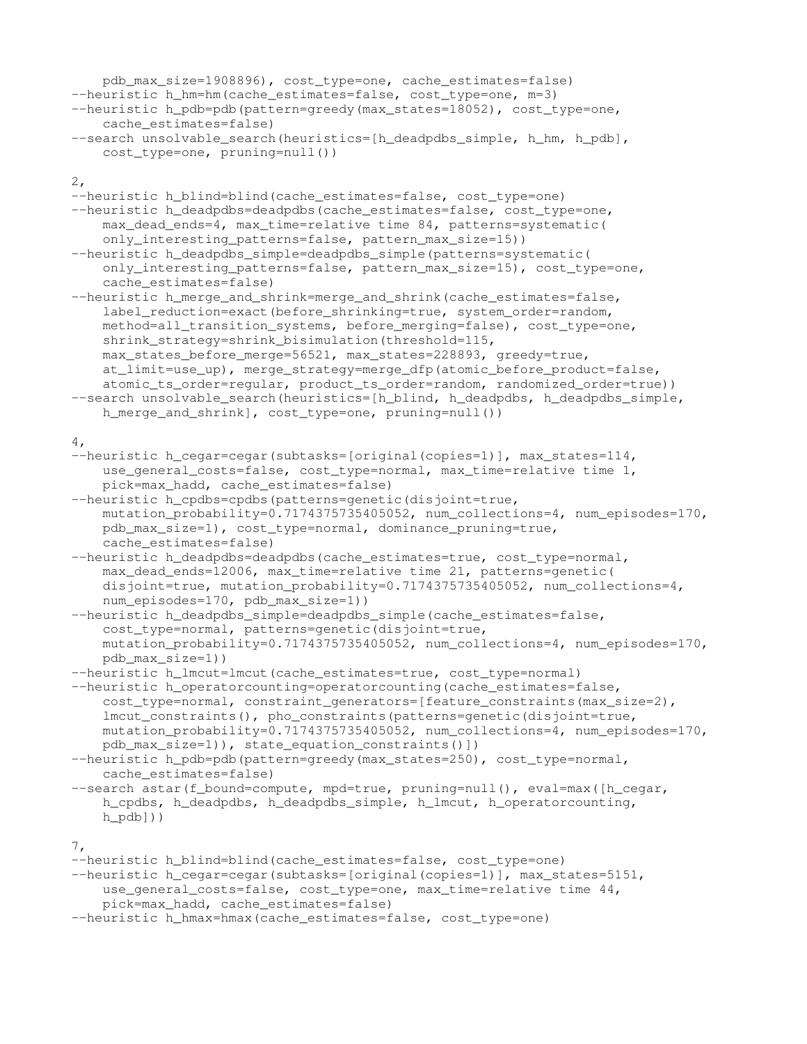```
pdb_max_size=1908896), cost_type=one, cache_estimates=false)
--heuristic h_hm=hm(cache_estimates=false, cost_type=one, m=3)
--heuristic h_pdb=pdb(pattern=greedy(max_states=18052), cost_type=one,
    cache_estimates=false)
--search unsolvable_search(heuristics=[h_deadpdbs_simple, h_hm, h_pdb],
    cost_type=one, pruning=null())
2,
--heuristic h_blind=blind(cache_estimates=false, cost_type=one)
--heuristic h_deadpdbs=deadpdbs(cache_estimates=false, cost_type=one,
    max_dead_ends=4, max_time=relative time 84, patterns=systematic(
    only_interesting_patterns=false, pattern_max_size=15))
--heuristic h_deadpdbs_simple=deadpdbs_simple(patterns=systematic(
    only_interesting_patterns=false, pattern_max_size=15), cost_type=one,
    cache_estimates=false)
--heuristic h_merge_and_shrink=merge_and_shrink(cache_estimates=false,
    label_reduction=exact(before_shrinking=true, system_order=random,
    method=all_transition_systems, before_merging=false), cost_type=one,
    shrink_strategy=shrink_bisimulation(threshold=115,
    max_states_before_merge=56521, max_states=228893, greedy=true,
    at_limit=use_up), merge_strategy=merge_dfp(atomic_before_product=false,
    atomic_ts_order=regular, product_ts_order=random, randomized_order=true))
--search unsolvable_search(heuristics=[h_blind, h_deadpdbs, h_deadpdbs_simple,
    h_merge_and_shrink], cost_type=one, pruning=null())
4,
--heuristic h_cegar=cegar(subtasks=[original(copies=1)], max_states=114,
    use_general_costs=false, cost_type=normal, max_time=relative time 1,
   pick=max_hadd, cache_estimates=false)
--heuristic h_cpdbs=cpdbs(patterns=genetic(disjoint=true,
    mutation_probability=0.7174375735405052, num_collections=4, num_episodes=170,
    pdb_max_size=1), cost_type=normal, dominance_pruning=true,
    cache_estimates=false)
--heuristic h_deadpdbs=deadpdbs(cache_estimates=true, cost_type=normal,
    max_dead_ends=12006, max_time=relative time 21, patterns=genetic(
    disjoint=true, mutation_probability=0.7174375735405052, num_collections=4,
    num_episodes=170, pdb_max_size=1))
--heuristic h_deadpdbs_simple=deadpdbs_simple(cache_estimates=false,
    cost_type=normal, patterns=genetic(disjoint=true,
    mutation_probability=0.7174375735405052, num_collections=4, num_episodes=170,
    pdb_max_size=1))
--heuristic h_lmcut=lmcut(cache_estimates=true, cost_type=normal)
--heuristic h_operatorcounting=operatorcounting(cache_estimates=false,
    cost_type=normal, constraint_generators=[feature_constraints(max_size=2),
    lmcut_constraints(), pho_constraints(patterns=genetic(disjoint=true,
    mutation_probability=0.7174375735405052, num_collections=4, num_episodes=170,
    pdb_max_size=1)), state_equation_constraints()])
--heuristic h_pdb=pdb(pattern=greedy(max_states=250), cost_type=normal,
    cache_estimates=false)
--search astar(f_bound=compute, mpd=true, pruning=null(), eval=max([h_cegar,
    h_cpdbs, h_deadpdbs, h_deadpdbs_simple, h_lmcut, h_operatorcounting,
    h pdb]))
7,
--heuristic h_blind=blind(cache_estimates=false, cost_type=one)
--heuristic h_cegar=cegar(subtasks=[original(copies=1)], max_states=5151,
    use_general_costs=false, cost_type=one, max_time=relative time 44,
    pick=max_hadd, cache_estimates=false)
```
--heuristic h\_hmax=hmax(cache\_estimates=false, cost\_type=one)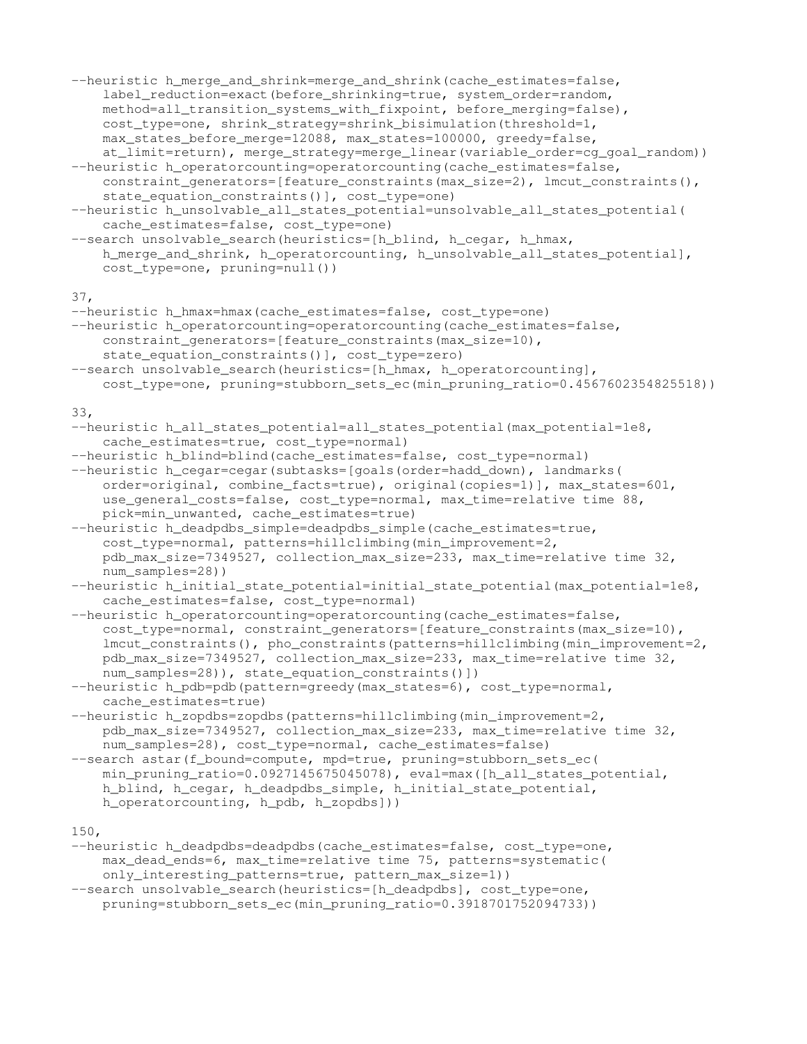```
--heuristic h_merge_and_shrink=merge_and_shrink(cache_estimates=false,
    label_reduction=exact(before_shrinking=true, system_order=random,
    method=all_transition_systems_with_fixpoint, before_merging=false),
    cost_type=one, shrink_strategy=shrink_bisimulation(threshold=1,
    max_states_before_merge=12088, max_states=100000, greedy=false,
    at_limit=return), merge_strategy=merge_linear(variable_order=cg_goal_random))
--heuristic h_operatorcounting=operatorcounting(cache_estimates=false,
    constraint_generators=[feature_constraints(max_size=2), lmcut_constraints(),
    state_equation_constraints()], cost_type=one)
--heuristic h_unsolvable_all_states_potential=unsolvable_all_states_potential(
    cache_estimates=false, cost_type=one)
--search unsolvable_search(heuristics=[h_blind, h_cegar, h_hmax,
    h_merge_and_shrink, h_operatorcounting, h_unsolvable_all_states_potential],
    cost_type=one, pruning=null())
37,
--heuristic h_hmax=hmax(cache_estimates=false, cost_type=one)
--heuristic h_operatorcounting=operatorcounting(cache_estimates=false,
    constraint_generators=[feature_constraints(max_size=10),
    state_equation_constraints()], cost_type=zero)
--search unsolvable_search(heuristics=[h_hmax, h_operatorcounting],
    cost_type=one, pruning=stubborn_sets_ec(min_pruning_ratio=0.4567602354825518))
33,
--heuristic h_all_states_potential=all_states_potential(max_potential=1e8,
    cache_estimates=true, cost_type=normal)
--heuristic h_blind=blind(cache_estimates=false, cost_type=normal)
--heuristic h_cegar=cegar(subtasks=[goals(order=hadd_down), landmarks(
    order=original, combine_facts=true), original(copies=1)], max_states=601,
    use_general_costs=false, cost_type=normal, max_time=relative time 88,
    pick=min_unwanted, cache_estimates=true)
--heuristic h_deadpdbs_simple=deadpdbs_simple(cache_estimates=true,
    cost type=normal, patterns=hillclimbing(min_improvement=2,
    pdb_max_size=7349527, collection_max_size=233, max_time=relative time 32,
    num_samples=28))
--heuristic h_initial_state_potential=initial_state_potential(max_potential=1e8,
    cache_estimates=false, cost_type=normal)
--heuristic h_operatorcounting=operatorcounting(cache_estimates=false,
    cost_type=normal, constraint_generators=[feature_constraints(max_size=10),
    lmcut_constraints(), pho_constraints(patterns=hillclimbing(min_improvement=2,
    pdb_max_size=7349527, collection_max_size=233, max_time=relative time 32,
    num_samples=28)), state_equation_constraints()])
--heuristic h_pdb=pdb(pattern=greedy(max_states=6), cost_type=normal,
    cache_estimates=true)
--heuristic h_zopdbs=zopdbs(patterns=hillclimbing(min_improvement=2,
    pdb_max_size=7349527, collection_max_size=233, max_time=relative time 32,
    num_samples=28), cost_type=normal, cache_estimates=false)
--search astar(f_bound=compute, mpd=true, pruning=stubborn_sets_ec(
    min_pruning_ratio=0.0927145675045078), eval=max([h_all_states_potential,
    h_blind, h_cegar, h_deadpdbs_simple, h_initial_state_potential,
    h_operatorcounting, h_pdb, h_zopdbs]))
150,
--heuristic h_deadpdbs=deadpdbs(cache_estimates=false, cost_type=one,
```
max\_dead\_ends=6, max\_time=relative time 75, patterns=systematic( only\_interesting\_patterns=true, pattern\_max\_size=1)) --search unsolvable\_search(heuristics=[h\_deadpdbs], cost\_type=one,

pruning=stubborn\_sets\_ec(min\_pruning\_ratio=0.3918701752094733))